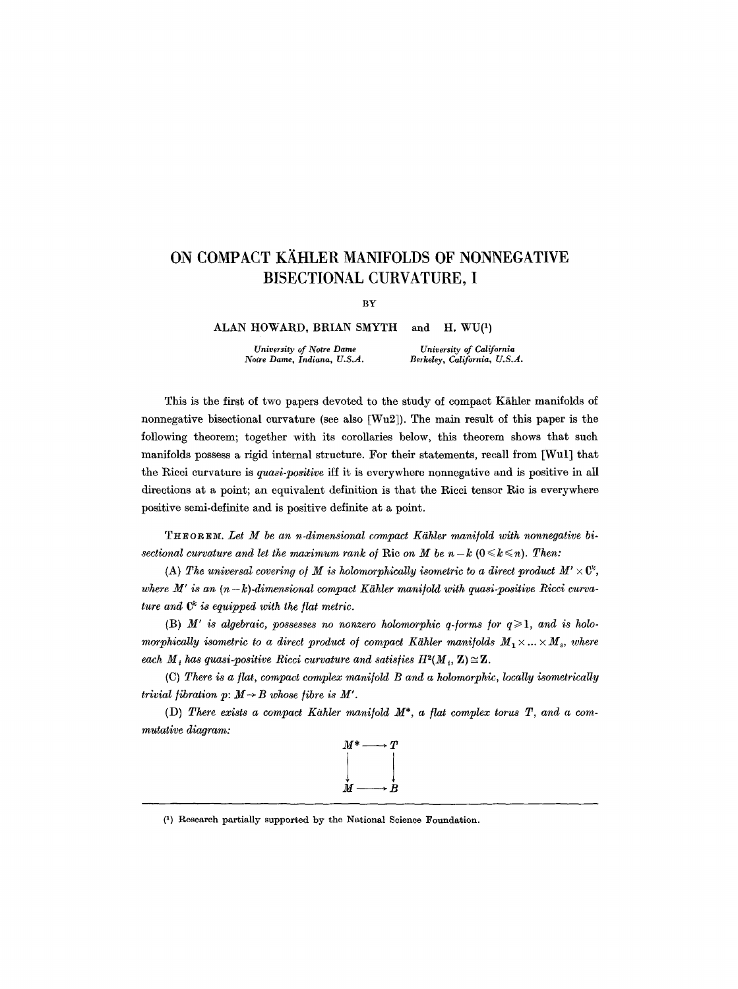## **ON COMPACT KÄHLER MANIFOLDS OF NONNEGATIVE BISECTIONAL CURVATURE, I**

BY

ALAN HOWARD, BRIAN SMYTH and H. WU(<sup>1</sup>)

*University of Notre Dame Notre Dame, Indiana, U.S.A.* 

*University of California Berkeley, California, U.S.A.* 

This is the first of two papers devoted to the study of compact Kähler manifolds of nonnegative bisectional curvature (see also [Wu2]). The main result of this paper is the following theorem; together with its corollaries below, this theorem shows that such manifolds possess a rigid internal structure. For their statements, recall from [Wul] that the Rieei curvature is *quasi-positive* iff it is everywhere nonnegative and is positive in all directions at a point; an equivalent definition is that the Ricci tensor Ric is everywhere positive semi-definite and is positive definite at a point.

THEOREM. Let M be an n-dimensional compact Kähler manifold with nonnegative bi*sectional curvature and let the maximum rank of Ric on M be*  $n - k$  *(* $0 \le k \le n$ *). Then:* 

(A) The universal covering of M is holomorphically isometric to a direct product  $M' \times \mathbb{C}^k$ , *where* M' is an  $(n-k)$ -dimensional compact Kähler manifold with quasi-positive Ricci curva*ture and*  $C^k$  *is equipped with the flat metric.* 

(B)  $M'$  is algebraic, possesses no nonzero holomorphic q-forms for  $q \geq 1$ , and is holo*morphically isometric to a direct product of compact Kähler manifolds*  $M_1 \times ... \times M_s$ , where *each*  $M_i$  has quasi-positive Ricci curvature and satisfies  $H^2(M_i, \mathbf{Z}) \cong \mathbf{Z}$ .

(C) *There is a fiat, compact complex mani/old B and a holomorphic, locally isometrically trivial fibration p:*  $M \rightarrow B$  whose *fibre is M'*.

(D) *There exists a compact Kahler mani/old M\*, a fiat complex torus T, and a commutative diagram:* 



(1) Research partially supported by the National Science Foundation.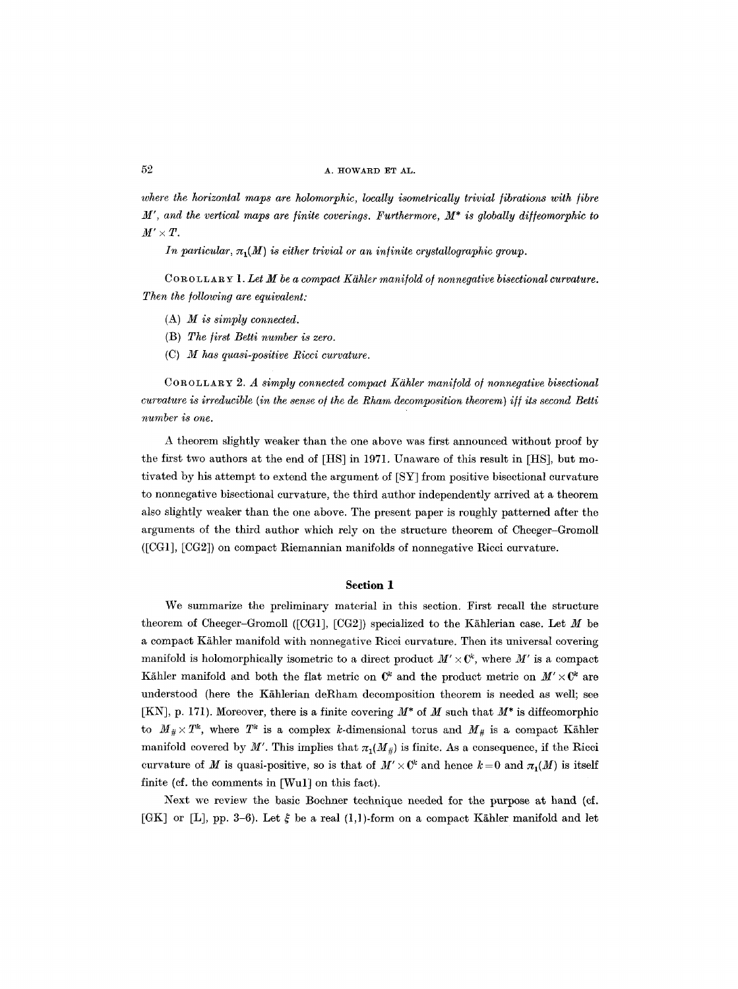where the horizontal maps are holomorphic, locally isometrically trivial fibrations with fibre  $M'$ , and the vertical maps are finite coverings. Furthermore,  $M^*$  is globally diffeomorphic to  $M' \times T$ .

*In particular,*  $\pi_1(M)$  *is either trivial or an infinite crystallographic group.* 

*C o R 0 L L A R ~ 1. Let M be a compact KShler manifold o/nonnegative bisectional curvature. Then the following are equivalent:* 

- (A) *M is simply connected.*
- (B) *The first Betti number is zero.*
- (C) *M has quasi-positive Ricci curvature.*

*C o R 0 L L A R u 2. A simply connected compact K~hler manifold o/nonnegative bisectional curvature is irreducible (in the sense of the de Rham decomposition theorem) iff its second Betti number is one.* 

A theorem slightly weaker than the one above was first announced without proof by the first two authors at the end of [HS] in 1971. Unaware of this result in [HS], but motivated by his attempt to extend the argument of [SY] from positive bisectional curvature to nonnegative bisectional curvature, the third author independently arrived at a theorem also slightly weaker than the one above. The present paper is roughly patterned after the arguments of the third author which rely on the structure theorem of Cheeger-Gromoll ([CG1], [CG2]) on compact Riemannian manifolds of nonnegative Ricci curvature.

## **Section 1**

We summarize the preliminary material in this section. First recall the structure theorem of Cheeger-Gromoll ([CG1], [CG2]) specialized to the Kählerian case. Let  $M$  be a compact Kähler manifold with nonnegative Ricci curvature. Then its universal covering manifold is holomorphically isometric to a direct product  $M' \times \mathbb{C}^k$ , where M' is a compact Kähler manifold and both the flat metric on  $\mathbb{C}^k$  and the product metric on  $M' \times \mathbb{C}^k$  are understood (here the Kählerian deRham decomposition theorem is needed as well; see [KN], p. 171). Moreover, there is a finite covering *M\** of M such that *M\** is diffeomorphie to  $M_{\#} \times T^k$ , where  $T^k$  is a complex k-dimensional torus and  $M_{\#}$  is a compact Kähler manifold covered by M'. This implies that  $\pi_1(M_*)$  is finite. As a consequence, if the Ricci curvature of M is quasi-positive, so is that of  $M' \times \mathbb{C}^k$  and hence  $k = 0$  and  $\pi_1(M)$  is itself finite (cf. the comments in [Wul] on this fact).

Next we review the basic Bochner technique needed for the purpose at hand (cf. [GK] or [L], pp. 3-6). Let  $\xi$  be a real (1,1)-form on a compact Kähler manifold and let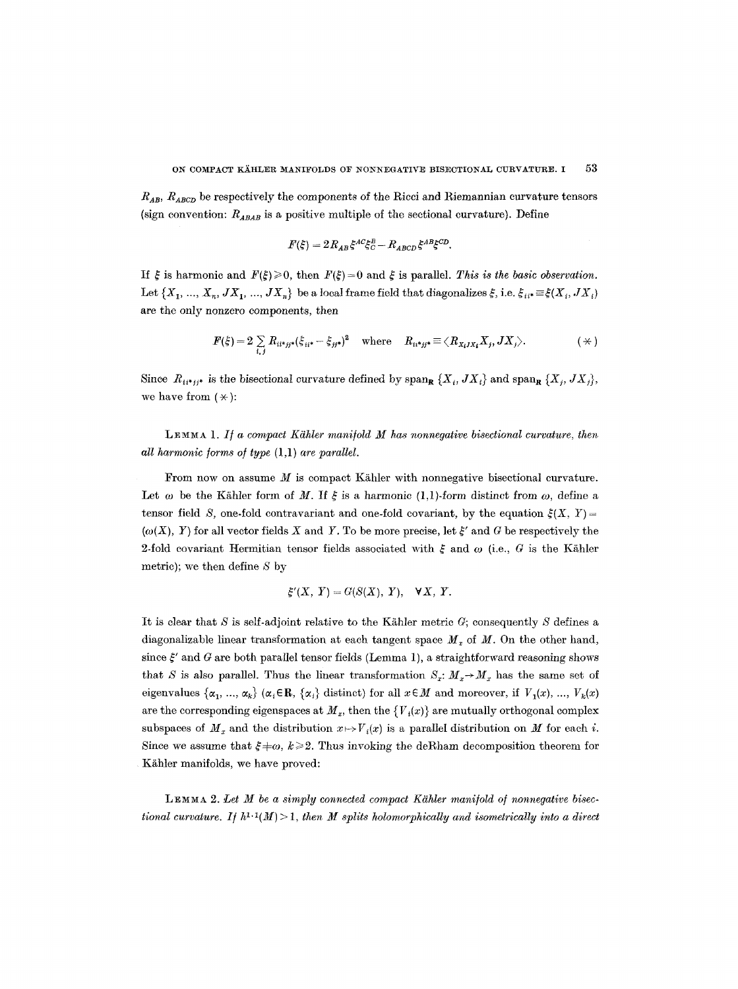*R~B, R~BCD* be respectively the components of the Rieci and Riemannian curvature tensors (sign convention:  $R_{ABAB}$  is a positive multiple of the sectional curvature). Define

$$
F(\xi) = 2R_{AB}\xi^{AC}\xi^B_C - R_{ABCD}\xi^{AB}\xi^{CD}.
$$

If  $\zeta$  is harmonic and  $F(\zeta) \geq 0$ , then  $F(\zeta) = 0$  and  $\zeta$  is parallel. *This is the basic observation*. Let  $\{X_1, ..., X_n, JX_1, ..., JX_n\}$  be a local frame field that diagonalizes  $\xi$ , i.e.  $\xi_{ii^*} \equiv \xi(X_i, JX_i)$ are the only nonzero components, then

$$
F(\xi) = 2 \sum_{i,j} R_{ii^*jj^*} (\xi_{ii^*} - \xi_{jj^*})^2 \quad \text{where} \quad R_{ii^*jj^*} \equiv \langle R_{X_iJX_i} X_j, JX_j \rangle. \tag{(*)}
$$

Since  $R_{ii^*jj^*}$  is the bisectional curvature defined by  $\text{span}_{\mathbf{R}} \{X_i, JX_i\}$  and  $\text{span}_{\mathbf{R}} \{X_j, JX_j\}$ , we have from  $(\star)$ :

LEMMA 1. *I/ a compact Kdhler maul/old M has nonnegative bisectional curvature, then all harmonic forms of type*  $(1,1)$  *are parallel.* 

From now on assume  $M$  is compact Kähler with nonnegative bisectional curvature. Let  $\omega$  be the Kähler form of M. If  $\xi$  is a harmonic (1,1)-form distinct from  $\omega$ , define a tensor field S, one-fold contravariant and one-fold covariant, by the equation  $\xi(X, Y)=$  $(\omega(X), Y)$  for all vector fields X and Y. To be more precise, let  $\xi'$  and G be respectively the 2-fold covariant Hermitian tensor fields associated with  $\xi$  and  $\omega$  (i.e., G is the Kähler metric); we then define  $S$  by

$$
\xi'(X, Y) = G(S(X), Y), \quad \forall X, Y.
$$

It is clear that S is self-adjoint relative to the Kähler metric  $G$ ; consequently S defines a diagonalizable linear transformation at each tangent space  $M_x$  of M. On the other hand, since  $\xi'$  and G are both parallel tensor fields (Lemma 1), a straightforward reasoning shows that S is also parallel. Thus the linear transformation  $S_x: M_x \rightarrow M_x$  has the same set of eigenvalues  $\{\alpha_1, ..., \alpha_k\}$  ( $\alpha_i \in \mathbb{R}$ ,  $\{\alpha_i\}$  distinct) for all  $x \in M$  and moreover, if  $V_1(x), ..., V_k(x)$ are the corresponding eigenspaces at  $M<sub>x</sub>$ , then the  ${V<sub>i</sub>(x)}$  are mutually orthogonal complex subspaces of  $M_x$  and the distribution  $x \mapsto V_i(x)$  is a parallel distribution on M for each i. Since we assume that  $\xi \neq \omega$ ,  $k \geq 2$ . Thus invoking the deRham decomposition theorem for Kähler manifolds, we have proved:

LEMMA 2. Let M be a simply connected compact Kähler manifold of nonnegative bisec*tional curvature. If*  $h^{1,1}(M) > 1$ *, then M splits holomorphically and isometrically into a direct*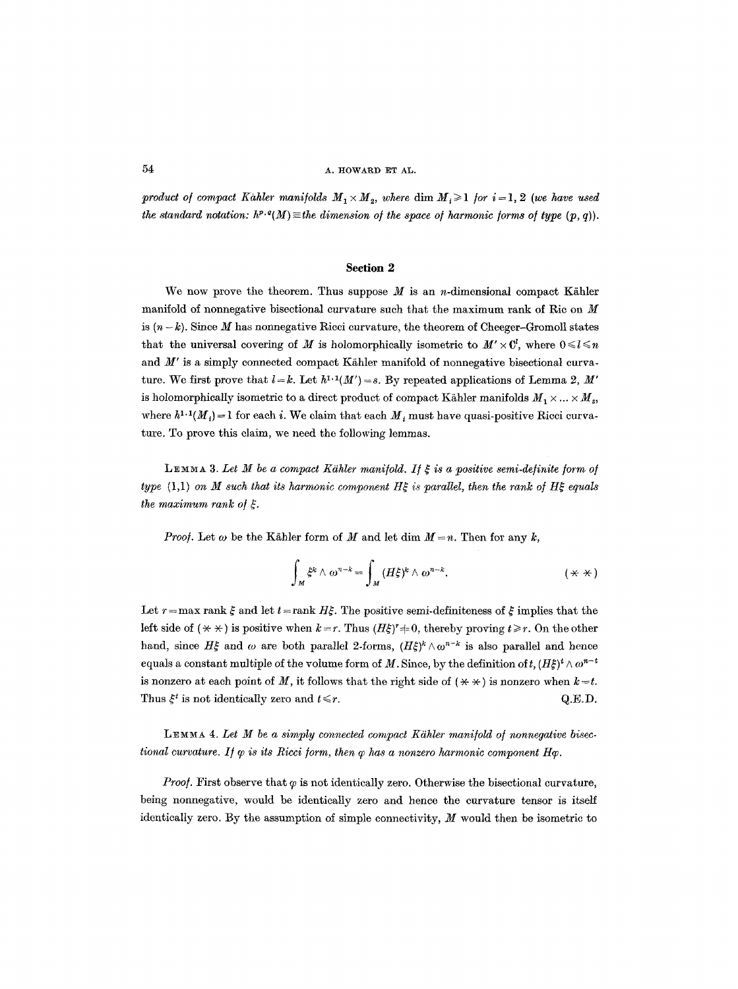*product of compact Kahler manifolds*  $M_1 \times M_2$ , where dim  $M_i \geq 1$  for  $i = 1, 2$  *(we have used the standard notation:*  $h^{p,q}(M) \equiv$  *the dimension of the space of harmonic forms of type (p, q)).* 

## **Section 2**

We now prove the theorem. Thus suppose  $M$  is an *n*-dimensional compact Kähler manifold of nonnegative bisectional curvature such that the maximum rank of Rie on M is  $(n-k)$ . Since M has nonnegative Ricci curvature, the theorem of Cheeger-Gromoll states that the universal covering of M is holomorphically isometric to  $M' \times \mathbb{C}^l$ , where  $0 \leq l \leq n$ and  $M'$  is a simply connected compact Kähler manifold of nonnegative bisectional curvature. We first prove that  $l = k$ . Let  $h^{1,1}(M') = s$ . By repeated applications of Lemma 2, M' is holomorphically isometric to a direct product of compact Kähler manifolds  $M_1 \times ... \times M_s$ , where  $h^{1,1}(M_t) = 1$  for each i. We claim that each  $M_t$  must have quasi-positive Ricci curvature. To prove this claim, we need the following lemmas.

LEMMA 3. Let M be a compact Kähler manifold. If  $\xi$  is a positive semi-definite form of *type* (1,1) on M such that its harmonic component H $\xi$  is parallel, then the rank of H $\xi$  equals *the maximum rank of \$.* 

*Proof.* Let  $\omega$  be the Kähler form of M and let dim  $M = n$ . Then for any k,

$$
\int_M \xi^k \wedge \omega^{n-k} = \int_M (H\xi)^k \wedge \omega^{n-k}.\tag{**}
$$

Let  $r = \max \text{ rank } \xi$  and let  $t = \text{rank } H\xi$ . The positive semi-definiteness of  $\xi$  implies that the left side of  $(\star \star)$  is positive when  $k = r$ . Thus  $(H\xi)^r = 0$ , thereby proving  $t \ge r$ . On the other hand, since  $H_{\sigma}^{\varepsilon}$  and  $\omega$  are both parallel 2-forms,  $(H\xi)^{k}\wedge\omega^{n-k}$  is also parallel and hence equals a constant multiple of the volume form of M. Since, by the definition of t,  $(H\xi)^t \wedge \omega^{n-t}$ is nonzero at each point of M, it follows that the right side of  $(\star \star)$  is nonzero when  $k=t$ . Thus  $\xi^t$  is not identically zero and  $t \leq r$ .  $Q.E.D.$ 

LEMMA 4. Let M be a simply connected compact Kähler manifold of nonnegative bisec*tional curvature. If*  $\varphi$  *is its Ricci form, then*  $\varphi$  *has a nonzero harmonic component H* $\varphi$ *.* 

*Proof.* First observe that  $\varphi$  is not identically zero. Otherwise the bisectional curvature, being nonnegative, would be identically zero and hence the curvature tensor is itself identically zero. By the assumption of simple connectivity,  $M$  would then be isometric to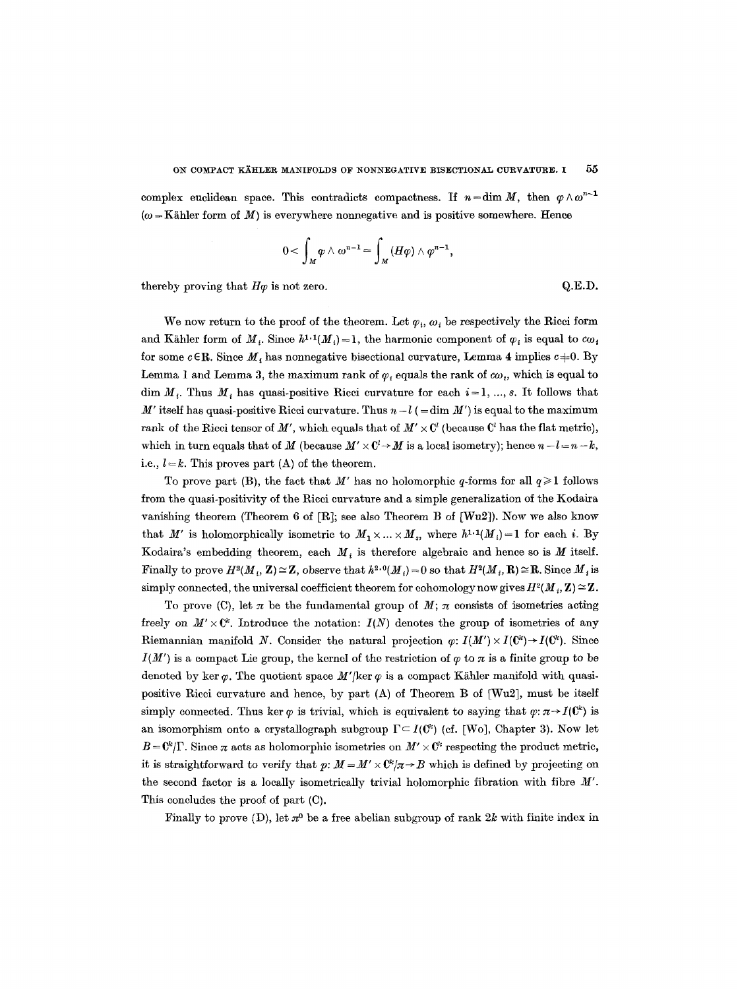complex euclidean space. This contradicts compactness. If  $n = \dim M$ , then  $\varphi \wedge \omega^{n-1}$  $(\omega = K\ddot{\text{a}}\text{hler form of }M)$  is everywhere nonnegative and is positive somewhere. Hence

$$
0<\int_M\varphi\wedge\omega^{n-1}=\int_M(H\varphi)\wedge\varphi^{n-1},
$$

thereby proving that  $H\varphi$  is not zero.  $Q.E.D.$ 

We now return to the proof of the theorem. Let  $\varphi_i, \omega_i$  be respectively the Ricci form and Kähler form of  $M_{+}$ . Since  $h^{1,1}(M_{+})=1$ , the harmonic component of  $\varphi_{i}$  is equal to  $c\omega_{i}$ for some  $c \in \mathbb{R}$ . Since  $M_i$  has nonnegative bisectional curvature, Lemma 4 implies  $c \neq 0$ . By Lemma 1 and Lemma 3, the maximum rank of  $\varphi_i$  equals the rank of  $\omega_i$ , which is equal to dim  $M_t$ . Thus  $M_t$ , has quasi-positive Ricci curvature for each  $i=1, ..., s$ . It follows that M' itself has quasi-positive Ricci curvature. Thus  $n-l$  (=dim M') is equal to the maximum rank of the Ricci tensor of M', which equals that of  $M' \times \mathbb{C}^l$  (because  $\mathbb{C}^l$  has the flat metric), which in turn equals that of M (because  $M' \times \mathbb{C}^l \to M$  is a local isometry); hence  $n-l=n-k$ , i.e.,  $l = k$ . This proves part (A) of the theorem.

To prove part (B), the fact that M' has no holomorphic q-forms for all  $q \ge 1$  follows from the quasi-positivity of the Ricci curvature and a simple generalization of the Kodaira vanishing theorem (Theorem 6 of  $[R]$ ; see also Theorem B of  $[Wu2]$ ). Now we also know that M' is holomorphically isometric to  $M_1 \times ... \times M_s$ , where  $h^{1,1}(M_i)=1$  for each i. By Kodaira's embedding theorem, each  $M_i$  is therefore algebraic and hence so is M itself. Finally to prove  $H^2(M, \mathbf{Z}) \cong \mathbf{Z}$ , observe that  $h^{2,0}(M_i) = 0$  so that  $H^2(M_i, \mathbf{R}) \cong \mathbf{R}$ . Since  $M_i$  is simply connected, the universal coefficient theorem for cohomology now gives  $H^2(M_i, \mathbf{Z}) \cong \mathbf{Z}$ .

To prove (C), let  $\pi$  be the fundamental group of  $M$ ;  $\pi$  consists of isometries acting freely on  $M' \times \mathbb{C}^k$ . Introduce the notation:  $I(N)$  denotes the group of isometries of any Riemannian manifold N. Consider the natural projection  $\varphi: I(M') \times I(\mathbb{C}^k) \to I(\mathbb{C}^k)$ . Since  $I(M')$  is a compact Lie group, the kernel of the restriction of  $\varphi$  to  $\pi$  is a finite group to be denoted by ker  $\varphi$ . The quotient space  $M'/\text{ker } \varphi$  is a compact Kähler manifold with quasipositive Ricci curvature and hence, by part (A) of Theorem B of [Wu2], must be itself simply connected. Thus ker  $\varphi$  is trivial, which is equivalent to saying that  $\varphi: \pi \to I(\mathbb{C}^k)$  is an isomorphism onto a crystallograph subgroup  $\Gamma \subset I(\mathbb{C}^k)$  (cf. [Wo], Chapter 3). Now let  $B = \mathbb{C}^k/\Gamma$ . Since  $\pi$  acts as holomorphic isometries on  $M' \times \mathbb{C}^k$  respecting the product metric, it is straightforward to verify that  $p: M = M' \times \mathbb{C}^k / \pi \rightarrow B$  which is defined by projecting on the second factor is a locally isometrically trivial holomorphic fibration with fibre M'. This concludes the proof of part (C).

Finally to prove (D), let  $\pi^0$  be a free abelian subgroup of rank 2k with finite index in